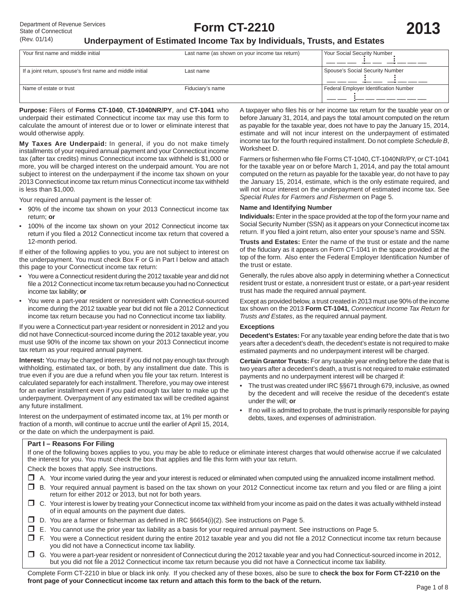A taxpayer who files his or her income tax return for the taxable year on or before January 31, 2014, and pays the total amount computed on the return as payable for the taxable year, does not have to pay the January 15, 2014, estimate and will not incur interest on the underpayment of estimated income tax for the fourth required installment. Do not complete *Schedule B*,

Farmers or fishermen who file Forms CT-1040, CT-1040NR/PY, or CT-1041 for the taxable year on or before March 1, 2014, and pay the total amount computed on the return as payable for the taxable year, do not have to pay the January 15, 2014, estimate, which is the only estimate required, and will not incur interest on the underpayment of estimated income tax. See

**Individuals:** Enter in the space provided at the top of the form your name and Social Security Number (SSN) as it appears on your Connecticut income tax return. If you filed a joint return, also enter your spouse's name and SSN. **Trusts and Estates:** Enter the name of the trust or estate and the name of the fiduciary as it appears on Form CT-1041 in the space provided at the top of the form. Also enter the Federal Employer Identification Number of

Generally, the rules above also apply in determining whether a Connecticut resident trust or estate, a nonresident trust or estate, or a part-year resident

Except as provided below, a trust created in 2013 must use 90% of the income tax shown on the 2013 **Form CT-1041**, *Connecticut Income Tax Return for* 

**Decedent's Estates:** For any taxable year ending before the date that is two years after a decedent's death, the decedent's estate is not required to make estimated payments and no underpayment interest will be charged. **Certain Grantor Trusts:** For any taxable year ending before the date that is two years after a decedent's death, a trust is not required to make estimated

• The trust was created under IRC §§671 through 679, inclusive, as owned by the decedent and will receive the residue of the decedent's estate

• If no will is admitted to probate, the trust is primarily responsible for paying

*Special Rules for Farmers and Fishermen* on Page 5.

trust has made the required annual payment.

*Trusts and Estates*, as the required annual payment.

payments and no underpayment interest will be charged if:

debts, taxes, and expenses of administration.

**Name and Identifying Number**

## **Underpayment of Estimated Income Tax by Individuals, Trusts, and Estates**

| Your first name and middle initial                        | Last name (as shown on your income tax return) | Your Social Security Number            |
|-----------------------------------------------------------|------------------------------------------------|----------------------------------------|
| If a joint return, spouse's first name and middle initial | Last name                                      | Spouse's Social Security Number        |
| Name of estate or trust                                   | Fiduciary's name                               | Federal Employer Identification Number |

Worksheet D.

the trust or estate.

**Exceptions**

under the will; **or**

**Purpose:** Filers of **Forms CT-1040**, **CT-1040NR/PY**, and **CT-1041** who underpaid their estimated Connecticut income tax may use this form to calculate the amount of interest due or to lower or eliminate interest that would otherwise apply.

**My Taxes Are Underpaid:** In general, if you do not make timely installments of your required annual payment and your Connecticut income tax (after tax credits) minus Connecticut income tax withheld is \$1,000 or more, you will be charged interest on the underpaid amount. You are not subject to interest on the underpayment if the income tax shown on your 2013 Connecticut income tax return minus Connecticut income tax withheld is less than \$1,000.

Your required annual payment is the lesser of:

- 90% of the income tax shown on your 2013 Connecticut income tax return; **or**
- 100% of the income tax shown on your 2012 Connecticut income tax return if you filed a 2012 Connecticut income tax return that covered a 12-month period.

If either of the following applies to you, you are not subject to interest on the underpayment. You must check Box F or G in Part I below and attach this page to your Connecticut income tax return:

- You were a Connecticut resident during the 2012 taxable year and did not file a 2012 Connecticut income tax return because you had no Connecticut income tax liability; **or**
- You were a part-year resident or nonresident with Connecticut-sourced income during the 2012 taxable year but did not file a 2012 Connecticut income tax return because you had no Connecticut income tax liability.

If you were a Connecticut part-year resident or nonresident in 2012 and you did not have Connecticut-sourced income during the 2012 taxable year, you must use 90% of the income tax shown on your 2013 Connecticut income tax return as your required annual payment.

**Interest:** You may be charged interest if you did not pay enough tax through withholding, estimated tax, or both, by any installment due date. This is true even if you are due a refund when you file your tax return. Interest is calculated separately for each installment. Therefore, you may owe interest for an earlier installment even if you paid enough tax later to make up the underpayment. Overpayment of any estimated tax will be credited against any future installment.

Interest on the underpayment of estimated income tax, at 1% per month or fraction of a month, will continue to accrue until the earlier of April 15, 2014, or the date on which the underpayment is paid.

## **Part I – Reasons For Filing**

If one of the following boxes applies to you, you may be able to reduce or eliminate interest charges that would otherwise accrue if we calculated the interest for you. You must check the box that applies and file this form with your tax return.

Check the boxes that apply. See instructions.

- A. Your income varied during the year and your interest is reduced or eliminated when computed using the annualized income installment method.
- □ B. Your required annual payment is based on the tax shown on your 2012 Connecticut income tax return and you filed or are filing a joint return for either 2012 or 2013, but not for both years.
- C. Your interest is lower by treating your Connecticut income tax withheld from your income as paid on the dates it was actually withheld instead of in equal amounts on the payment due dates.
- $\Box$  D. You are a farmer or fisherman as defined in IRC §6654(i)(2). See instructions on Page 5.
- $\square$  E. You cannot use the prior year tax liability as a basis for your required annual payment. See instructions on Page 5.
- □ F. You were a Connecticut resident during the entire 2012 taxable year and you did not file a 2012 Connecticut income tax return because you did not have a Connecticut income tax liability.
- G. You were a part-year resident or nonresident of Connecticut during the 2012 taxable year and you had Connecticut-sourced income in 2012, but you did not file a 2012 Connecticut income tax return because you did not have a Connecticut income tax liability.

Complete Form CT-2210 in blue or black ink only. If you checked any of these boxes, also be sure to **check the box for Form CT-2210 on the front page of your Connecticut income tax return and attach this form to the back of the return.**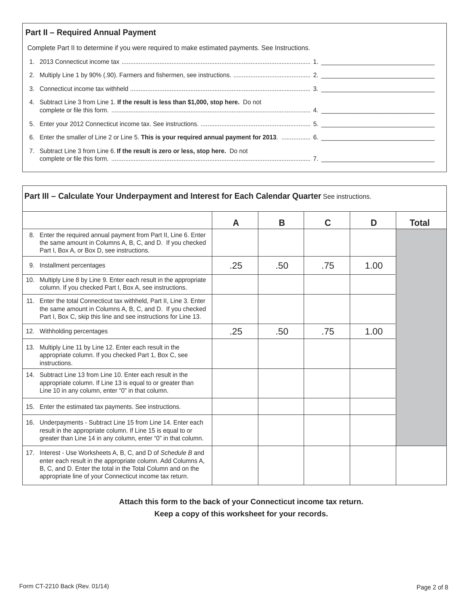| <b>Part II - Required Annual Payment</b>                                                         |  |  |  |  |  |  |
|--------------------------------------------------------------------------------------------------|--|--|--|--|--|--|
| Complete Part II to determine if you were required to make estimated payments. See Instructions. |  |  |  |  |  |  |
|                                                                                                  |  |  |  |  |  |  |
|                                                                                                  |  |  |  |  |  |  |
|                                                                                                  |  |  |  |  |  |  |
| 4. Subtract Line 3 from Line 1. If the result is less than \$1,000, stop here. Do not            |  |  |  |  |  |  |
|                                                                                                  |  |  |  |  |  |  |
| 6. Enter the smaller of Line 2 or Line 5. This is your required annual payment for 2013.  6.     |  |  |  |  |  |  |
| 7. Subtract Line 3 from Line 6. If the result is zero or less, stop here. Do not                 |  |  |  |  |  |  |

| Part III - Calculate Your Underpayment and Interest for Each Calendar Quarter See instructions.                                                                                                                                                         |     |     |             |      |              |
|---------------------------------------------------------------------------------------------------------------------------------------------------------------------------------------------------------------------------------------------------------|-----|-----|-------------|------|--------------|
|                                                                                                                                                                                                                                                         | A   | B   | $\mathbf C$ | D    | <b>Total</b> |
| 8. Enter the required annual payment from Part II, Line 6. Enter<br>the same amount in Columns A, B, C, and D. If you checked<br>Part I, Box A, or Box D, see instructions.                                                                             |     |     |             |      |              |
| 9. Installment percentages                                                                                                                                                                                                                              | .25 | .50 | .75         | 1.00 |              |
| 10. Multiply Line 8 by Line 9. Enter each result in the appropriate<br>column. If you checked Part I, Box A, see instructions.                                                                                                                          |     |     |             |      |              |
| 11. Enter the total Connecticut tax withheld, Part II, Line 3. Enter<br>the same amount in Columns A, B, C, and D. If you checked<br>Part I, Box C, skip this line and see instructions for Line 13.                                                    |     |     |             |      |              |
| 12. Withholding percentages                                                                                                                                                                                                                             | .25 | .50 | .75         | 1.00 |              |
| 13. Multiply Line 11 by Line 12. Enter each result in the<br>appropriate column. If you checked Part 1, Box C, see<br>instructions.                                                                                                                     |     |     |             |      |              |
| 14. Subtract Line 13 from Line 10. Enter each result in the<br>appropriate column. If Line 13 is equal to or greater than<br>Line 10 in any column, enter "0" in that column.                                                                           |     |     |             |      |              |
| 15. Enter the estimated tax payments. See instructions.                                                                                                                                                                                                 |     |     |             |      |              |
| 16. Underpayments - Subtract Line 15 from Line 14. Enter each<br>result in the appropriate column. If Line 15 is equal to or<br>greater than Line 14 in any column, enter "0" in that column.                                                           |     |     |             |      |              |
| 17. Interest - Use Worksheets A, B, C, and D of Schedule B and<br>enter each result in the appropriate column. Add Columns A,<br>B, C, and D. Enter the total in the Total Column and on the<br>appropriate line of your Connecticut income tax return. |     |     |             |      |              |

**Attach this form to the back of your Connecticut income tax return.**

**Keep a copy of this worksheet for your records.**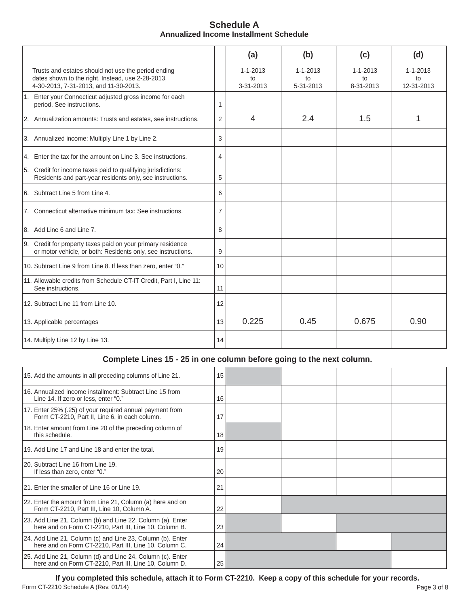| <b>Schedule A</b>                      |  |
|----------------------------------------|--|
| Annualized Income Installment Schedule |  |

|                                                                                                                                                   |                | (a)                               | (b)                               | (c)                               | (d)                                |
|---------------------------------------------------------------------------------------------------------------------------------------------------|----------------|-----------------------------------|-----------------------------------|-----------------------------------|------------------------------------|
| Trusts and estates should not use the period ending<br>dates shown to the right. Instead, use 2-28-2013,<br>4-30-2013, 7-31-2013, and 11-30-2013. |                | $1 - 1 - 2013$<br>to<br>3-31-2013 | $1 - 1 - 2013$<br>to<br>5-31-2013 | $1 - 1 - 2013$<br>to<br>8-31-2013 | $1 - 1 - 2013$<br>to<br>12-31-2013 |
| 1. Enter your Connecticut adjusted gross income for each<br>period. See instructions.                                                             | 1              |                                   |                                   |                                   |                                    |
| 2. Annualization amounts: Trusts and estates, see instructions.                                                                                   | $\overline{2}$ | $\overline{4}$                    | 2.4                               | 1.5                               | 1                                  |
| 3. Annualized income: Multiply Line 1 by Line 2.                                                                                                  | 3              |                                   |                                   |                                   |                                    |
| 4. Enter the tax for the amount on Line 3. See instructions.                                                                                      | 4              |                                   |                                   |                                   |                                    |
| 5. Credit for income taxes paid to qualifying jurisdictions:<br>Residents and part-year residents only, see instructions.                         | 5              |                                   |                                   |                                   |                                    |
| 6. Subtract Line 5 from Line 4.                                                                                                                   | 6              |                                   |                                   |                                   |                                    |
| 7. Connecticut alternative minimum tax: See instructions.                                                                                         | $\overline{7}$ |                                   |                                   |                                   |                                    |
| 8. Add Line 6 and Line 7.                                                                                                                         | 8              |                                   |                                   |                                   |                                    |
| 9. Credit for property taxes paid on your primary residence<br>or motor vehicle, or both: Residents only, see instructions.                       | 9              |                                   |                                   |                                   |                                    |
| 10. Subtract Line 9 from Line 8. If less than zero, enter "0."                                                                                    | 10             |                                   |                                   |                                   |                                    |
| 11. Allowable credits from Schedule CT-IT Credit, Part I, Line 11:<br>See instructions.                                                           | 11             |                                   |                                   |                                   |                                    |
| 12. Subtract Line 11 from Line 10.                                                                                                                | 12             |                                   |                                   |                                   |                                    |
| 13. Applicable percentages                                                                                                                        | 13             | 0.225                             | 0.45                              | 0.675                             | 0.90                               |
| 14. Multiply Line 12 by Line 13.                                                                                                                  | 14             |                                   |                                   |                                   |                                    |

# **Complete Lines 15 - 25 in one column before going to the next column.**

| 15. Add the amounts in all preceding columns of Line 21.                                                             | 15 |  |  |
|----------------------------------------------------------------------------------------------------------------------|----|--|--|
| 16. Annualized income installment: Subtract Line 15 from<br>Line 14. If zero or less, enter "0."                     | 16 |  |  |
| 17. Enter 25% (.25) of your required annual payment from<br>Form CT-2210, Part II, Line 6, in each column.           | 17 |  |  |
| 18. Enter amount from Line 20 of the preceding column of<br>this schedule.                                           | 18 |  |  |
| 19. Add Line 17 and Line 18 and enter the total.                                                                     | 19 |  |  |
| 20. Subtract Line 16 from Line 19.<br>If less than zero, enter "0."                                                  | 20 |  |  |
| 21. Enter the smaller of Line 16 or Line 19.                                                                         | 21 |  |  |
| 22. Enter the amount from Line 21, Column (a) here and on<br>Form CT-2210, Part III, Line 10, Column A.              | 22 |  |  |
| 23. Add Line 21, Column (b) and Line 22, Column (a). Enter<br>here and on Form CT-2210, Part III, Line 10, Column B. | 23 |  |  |
| 24. Add Line 21, Column (c) and Line 23, Column (b). Enter<br>here and on Form CT-2210, Part III, Line 10, Column C. | 24 |  |  |
| 25. Add Line 21, Column (d) and Line 24, Column (c). Enter<br>here and on Form CT-2210, Part III, Line 10, Column D. | 25 |  |  |
|                                                                                                                      |    |  |  |

**If you completed this schedule, attach it to Form CT-2210. Keep a copy of this schedule for your records.**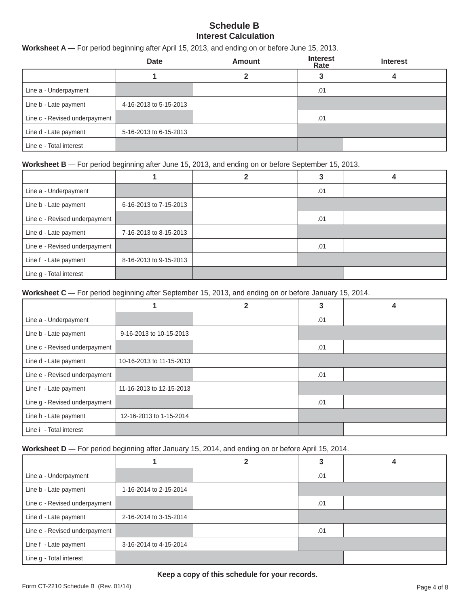## **Schedule B Interest Calculation**

## **Worksheet A —** For period beginning after April 15, 2013, and ending on or before June 15, 2013.

|                               | <b>Date</b>            | <b>Amount</b> | <b>Interest</b><br>Rate | <b>Interest</b> |
|-------------------------------|------------------------|---------------|-------------------------|-----------------|
|                               |                        |               |                         |                 |
| Line a - Underpayment         |                        |               | .01                     |                 |
| Line b - Late payment         | 4-16-2013 to 5-15-2013 |               |                         |                 |
| Line c - Revised underpayment |                        |               | .01                     |                 |
| Line d - Late payment         | 5-16-2013 to 6-15-2013 |               |                         |                 |
| Line e - Total interest       |                        |               |                         |                 |

## **Worksheet B** — For period beginning after June 15, 2013, and ending on or before September 15, 2013.

| Line a - Underpayment         |                        | .01 |  |
|-------------------------------|------------------------|-----|--|
| Line b - Late payment         | 6-16-2013 to 7-15-2013 |     |  |
| Line c - Revised underpayment |                        | .01 |  |
| Line d - Late payment         | 7-16-2013 to 8-15-2013 |     |  |
| Line e - Revised underpayment |                        | .01 |  |
| Line f - Late payment         | 8-16-2013 to 9-15-2013 |     |  |
| Line g - Total interest       |                        |     |  |

**Worksheet C** — For period beginning after September 15, 2013, and ending on or before January 15, 2014.

|                               |                          | 2 |     |  |
|-------------------------------|--------------------------|---|-----|--|
| Line a - Underpayment         |                          |   | .01 |  |
| Line b - Late payment         | 9-16-2013 to 10-15-2013  |   |     |  |
| Line c - Revised underpayment |                          |   | .01 |  |
| Line d - Late payment         | 10-16-2013 to 11-15-2013 |   |     |  |
| Line e - Revised underpayment |                          |   | .01 |  |
| Line f - Late payment         | 11-16-2013 to 12-15-2013 |   |     |  |
| Line g - Revised underpayment |                          |   | .01 |  |
| Line h - Late payment         | 12-16-2013 to 1-15-2014  |   |     |  |
| Line i - Total interest       |                          |   |     |  |

**Worksheet D** — For period beginning after January 15, 2014, and ending on or before April 15, 2014.

| Line a - Underpayment         |                        | .01 |  |
|-------------------------------|------------------------|-----|--|
| Line b - Late payment         | 1-16-2014 to 2-15-2014 |     |  |
| Line c - Revised underpayment |                        | .01 |  |
| Line d - Late payment         | 2-16-2014 to 3-15-2014 |     |  |
| Line e - Revised underpayment |                        | .01 |  |
| Line f - Late payment         | 3-16-2014 to 4-15-2014 |     |  |
| Line g - Total interest       |                        |     |  |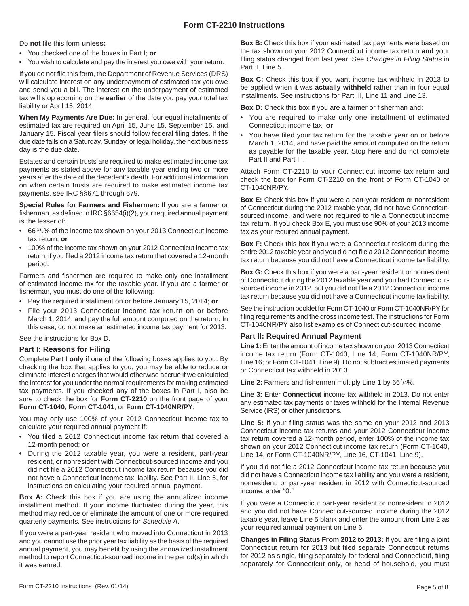## **Form CT-2210 Instructions**

Do not file this form unless:

- You checked one of the boxes in Part I; **or**
- You wish to calculate and pay the interest you owe with your return.

If you do not file this form, the Department of Revenue Services (DRS) will calculate interest on any underpayment of estimated tax you owe and send you a bill. The interest on the underpayment of estimated tax will stop accruing on the **earlier** of the date you pay your total tax liability or April 15, 2014.

**When My Payments Are Due:** In general, four equal installments of estimated tax are required on April 15, June 15, September 15, and January 15. Fiscal year filers should follow federal filing dates. If the due date falls on a Saturday, Sunday, or legal holiday, the next business day is the due date.

Estates and certain trusts are required to make estimated income tax payments as stated above for any taxable year ending two or more years after the date of the decedent's death. For additional information on when certain trusts are required to make estimated income tax payments, see IRC §§671 through 679.

**Special Rules for Farmers and Fishermen:** If you are a farmer or fisherman, as defined in IRC §6654(i)(2), your required annual payment is the lesser of:

- 66<sup>2</sup>/<sub>3</sub>% of the income tax shown on your 2013 Connecticut income tax return; **or**
- 100% of the income tax shown on your 2012 Connecticut income tax return, if you filed a 2012 income tax return that covered a 12-month period.

Farmers and fishermen are required to make only one installment of estimated income tax for the taxable year. If you are a farmer or fisherman, you must do one of the following:

- Pay the required installment on or before January 15, 2014; **or**
- File your 2013 Connecticut income tax return on or before March 1, 2014, and pay the full amount computed on the return. In this case, do not make an estimated income tax payment for 2013.

See the instructions for Box D.

#### **Part I: Reasons for Filing**

Complete Part I **only** if one of the following boxes applies to you. By checking the box that applies to you, you may be able to reduce or eliminate interest charges that would otherwise accrue if we calculated the interest for you under the normal requirements for making estimated tax payments. If you checked any of the boxes in Part I, also be sure to check the box for **Form CT-2210** on the front page of your **Form CT-1040**, **Form CT-1041**, or **Form CT-1040NR/PY**.

You may only use 100% of your 2012 Connecticut income tax to calculate your required annual payment if:

- You filed a 2012 Connecticut income tax return that covered a 12-month period; **or**
- During the 2012 taxable year, you were a resident, part-year resident, or nonresident with Connecticut-sourced income and you did not file a 2012 Connecticut income tax return because you did not have a Connecticut income tax liability. See Part II, Line 5, for instructions on calculating your required annual payment.

**Box A:** Check this box if you are using the annualized income installment method. If your income fluctuated during the year, this method may reduce or eliminate the amount of one or more required quarterly payments. See instructions for *Schedule A*.

If you were a part-year resident who moved into Connecticut in 2013 and you cannot use the prior year tax liability as the basis of the required annual payment, you may benefit by using the annualized installment method to report Connecticut-sourced income in the period(s) in which it was earned.

**Box B:** Check this box if your estimated tax payments were based on the tax shown on your 2012 Connecticut income tax return **and** your filing status changed from last year. See Changes in Filing Status in Part II, Line 5.

**Box C:** Check this box if you want income tax withheld in 2013 to be applied when it was **actually withheld** rather than in four equal installments. See instructions for Part III, Line 11 and Line 13.

**Box D:** Check this box if you are a farmer or fisherman and:

- You are required to make only one installment of estimated Connecticut income tax; **or**
- You have filed your tax return for the taxable year on or before March 1, 2014, and have paid the amount computed on the return as payable for the taxable year. Stop here and do not complete Part II and Part III.

Attach Form CT-2210 to your Connecticut income tax return and check the box for Form CT-2210 on the front of Form CT-1040 or CT-1040NR/PY.

**Box E:** Check this box if you were a part-year resident or nonresident of Connecticut during the 2012 taxable year, did not have Connecticutsourced income, and were not required to file a Connecticut income tax return. If you check Box E, you must use 90% of your 2013 income tax as your required annual payment.

**Box F:** Check this box if you were a Connecticut resident during the entire 2012 taxable year and you did not file a 2012 Connecticut income tax return because you did not have a Connecticut income tax liability.

**Box G:** Check this box if you were a part-year resident or nonresident of Connecticut during the 2012 taxable year and you had Connecticutsourced income in 2012, but you did not file a 2012 Connecticut income tax return because you did not have a Connecticut income tax liability.

See the instruction booklet for Form CT-1040 or Form CT-1040NR/PY for filing requirements and the gross income test. The instructions for Form CT-1040NR/PY also list examples of Connecticut-sourced income.

## **Part II: Required Annual Payment**

**Line 1:** Enter the amount of income tax shown on your 2013 Connecticut income tax return (Form CT-1040, Line 14; Form CT-1040NR/PY, Line 16; or Form CT-1041, Line 9). Do not subtract estimated payments or Connecticut tax withheld in 2013.

Line 2: Farmers and fishermen multiply Line 1 by 66<sup>2</sup>/<sub>3</sub>%.

**Line 3:** Enter **Connecticut** income tax withheld in 2013. Do not enter any estimated tax payments or taxes withheld for the Internal Revenue Service (IRS) or other jurisdictions.

**Line 5:** If your filing status was the same on your 2012 and 2013 Connecticut income tax returns and your 2012 Connecticut income tax return covered a 12-month period, enter 100% of the income tax shown on your 2012 Connecticut income tax return (Form CT-1040, Line 14, or Form CT-1040NR/PY, Line 16, CT-1041, Line 9).

If you did not file a 2012 Connecticut income tax return because you did not have a Connecticut income tax liability and you were a resident, nonresident, or part-year resident in 2012 with Connecticut-sourced income, enter "0."

If you were a Connecticut part-year resident or nonresident in 2012 and you did not have Connecticut-sourced income during the 2012 taxable year, leave Line 5 blank and enter the amount from Line 2 as your required annual payment on Line 6.

**Changes in Filing Status From 2012 to 2013: If you are filing a joint** Connecticut return for 2013 but filed separate Connecticut returns for 2012 as single, filing separately for federal and Connecticut, filing separately for Connecticut only, or head of household, you must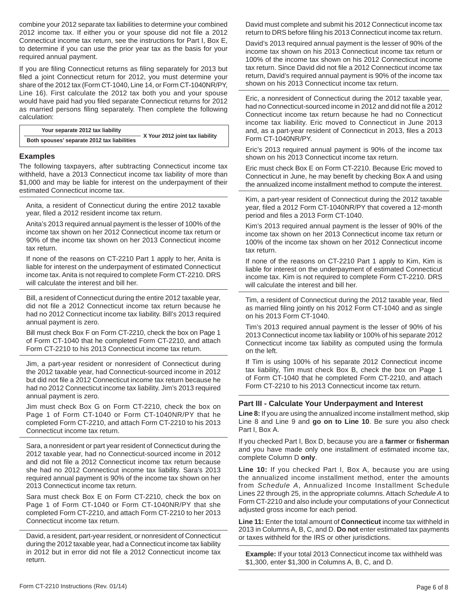combine your 2012 separate tax liabilities to determine your combined 2012 income tax. If either you or your spouse did not file a 2012 Connecticut income tax return, see the instructions for Part I, Box E, to determine if you can use the prior year tax as the basis for your required annual payment.

If you are filing Connecticut returns as filing separately for 2013 but filed a joint Connecticut return for 2012, you must determine your share of the 2012 tax (Form CT-1040, Line 14, or Form CT-1040NR/PY, Line 16). First calculate the 2012 tax both you and your spouse would have paid had you filed separate Connecticut returns for 2012 as married persons filing separately. Then complete the following calculation:

 **Your separate 2012 tax liability**

 **X** Your 2012 joint tax liability<br>Both spouses' separate 2012 tax liabilities

#### **Examples**

The following taxpayers, after subtracting Connecticut income tax withheld, have a 2013 Connecticut income tax liability of more than \$1,000 and may be liable for interest on the underpayment of their estimated Connecticut income tax.

Anita, a resident of Connecticut during the entire 2012 taxable year, filed a 2012 resident income tax return.

Anita's 2013 required annual payment is the lesser of 100% of the income tax shown on her 2012 Connecticut income tax return or 90% of the income tax shown on her 2013 Connecticut income tax return.

If none of the reasons on CT-2210 Part 1 apply to her, Anita is liable for interest on the underpayment of estimated Connecticut income tax. Anita is not required to complete Form CT-2210. DRS will calculate the interest and bill her.

Bill, a resident of Connecticut during the entire 2012 taxable year, did not file a 2012 Connecticut income tax return because he had no 2012 Connecticut income tax liability. Bill's 2013 required annual payment is zero.

Bill must check Box F on Form CT-2210, check the box on Page 1 of Form CT-1040 that he completed Form CT-2210, and attach Form CT-2210 to his 2013 Connecticut income tax return.

Jim, a part-year resident or nonresident of Connecticut during the 2012 taxable year, had Connecticut-sourced income in 2012 but did not file a 2012 Connecticut income tax return because he had no 2012 Connecticut income tax liability. Jim's 2013 required annual payment is zero.

Jim must check Box G on Form CT-2210, check the box on Page 1 of Form CT-1040 or Form CT-1040NR/PY that he completed Form CT-2210, and attach Form CT-2210 to his 2013 Connecticut income tax return.

Sara, a nonresident or part year resident of Connecticut during the 2012 taxable year, had no Connecticut-sourced income in 2012 and did not file a 2012 Connecticut income tax return because she had no 2012 Connecticut income tax liability. Sara's 2013 required annual payment is 90% of the income tax shown on her 2013 Connecticut income tax return.

Sara must check Box E on Form CT-2210, check the box on Page 1 of Form CT-1040 or Form CT-1040NR/PY that she completed Form CT-2210, and attach Form CT-2210 to her 2013 Connecticut income tax return.

David, a resident, part-year resident, or nonresident of Connecticut during the 2012 taxable year, had a Connecticut income tax liability in 2012 but in error did not file a 2012 Connecticut income tax return.

David must complete and submit his 2012 Connecticut income tax return to DRS before filing his 2013 Connecticut income tax return.

David's 2013 required annual payment is the lesser of 90% of the income tax shown on his 2013 Connecticut income tax return or 100% of the income tax shown on his 2012 Connecticut income tax return. Since David did not file a 2012 Connecticut income tax return, David's required annual payment is 90% of the income tax shown on his 2013 Connecticut income tax return.

Eric, a nonresident of Connecticut during the 2012 taxable year, had no Connecticut-sourced income in 2012 and did not file a 2012 Connecticut income tax return because he had no Connecticut income tax liability. Eric moved to Connecticut in June 2013 and, as a part-year resident of Connecticut in 2013, files a 2013 Form CT-1040NR/PY.

Eric's 2013 required annual payment is 90% of the income tax shown on his 2013 Connecticut income tax return.

Eric must check Box E on Form CT-2210. Because Eric moved to Connecticut in June, he may benefit by checking Box A and using the annualized income installment method to compute the interest.

Kim, a part-year resident of Connecticut during the 2012 taxable year, filed a 2012 Form CT-1040NR/PY that covered a 12-month period and files a 2013 Form CT-1040.

Kim's 2013 required annual payment is the lesser of 90% of the income tax shown on her 2013 Connecticut income tax return or 100% of the income tax shown on her 2012 Connecticut income tax return.

If none of the reasons on CT-2210 Part 1 apply to Kim, Kim is liable for interest on the underpayment of estimated Connecticut income tax. Kim is not required to complete Form CT-2210. DRS will calculate the interest and bill her.

Tim, a resident of Connecticut during the 2012 taxable year, filed as married filing jointly on his 2012 Form CT-1040 and as single on his 2013 Form CT-1040.

Tim's 2013 required annual payment is the lesser of 90% of his 2013 Connecticut income tax liability or 100% of his separate 2012 Connecticut income tax liability as computed using the formula on the left.

If Tim is using 100% of his separate 2012 Connecticut income tax liability, Tim must check Box B, check the box on Page 1 of Form CT-1040 that he completed Form CT-2210, and attach Form CT-2210 to his 2013 Connecticut income tax return.

#### **Part III - Calculate Your Underpayment and Interest**

**Line 8:** If you are using the annualized income installment method, skip Line 8 and Line 9 and **go on to Line 10**. Be sure you also check Part I, Box A.

If you checked Part I, Box D, because you are a **farmer** or **fi sherman** and you have made only one installment of estimated income tax, complete Column D **only**.

**Line 10:** If you checked Part I, Box A, because you are using the annualized income installment method, enter the amounts from *Schedule A*, Annualized Income Installment Schedule Lines 22 through 25, in the appropriate columns. Attach *Schedule A* to Form CT-2210 and also include your computations of your Connecticut adjusted gross income for each period.

**Line 11:** Enter the total amount of **Connecticut** income tax withheld in 2013 in Columns A, B, C, and D. **Do not** enter estimated tax payments or taxes withheld for the IRS or other jurisdictions.

**Example:** If your total 2013 Connecticut income tax withheld was \$1,300, enter \$1,300 in Columns A, B, C, and D.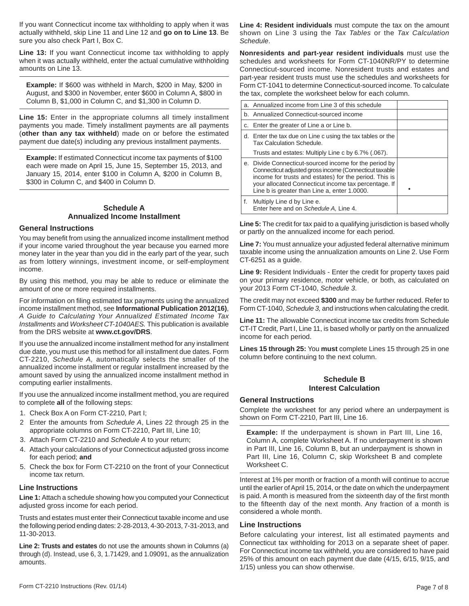If you want Connecticut income tax withholding to apply when it was actually withheld, skip Line 11 and Line 12 and **go on to Line 13**. Be sure you also check Part I, Box C.

**Line 13:** If you want Connecticut income tax withholding to apply when it was actually withheld, enter the actual cumulative withholding amounts on Line 13.

**Example:** If \$600 was withheld in March, \$200 in May, \$200 in August, and \$300 in November, enter \$600 in Column A, \$800 in Column B, \$1,000 in Column C, and \$1,300 in Column D.

**Line 15:** Enter in the appropriate columns all timely installment payments you made. Timely installment payments are all payments (**other than any tax withheld**) made on or before the estimated payment due date(s) including any previous installment payments.

**Example:** If estimated Connecticut income tax payments of \$100 each were made on April 15, June 15, September 15, 2013, and January 15, 2014, enter \$100 in Column A, \$200 in Column B, \$300 in Column C, and \$400 in Column D.

## **Schedule A Annualized Income Installment**

## **General Instructions**

You may benefit from using the annualized income installment method if your income varied throughout the year because you earned more money later in the year than you did in the early part of the year, such as from lottery winnings, investment income, or self-employment income.

By using this method, you may be able to reduce or eliminate the amount of one or more required installments.

For information on filing estimated tax payments using the annualized income installment method, see **Informational Publication 2012(16)**, *A Guide to Calculating Your Annualized Estimated Income Tax Installments* and *Worksheet CT-1040AES.* This publication is available from the DRS website at **www.ct.gov/DRS**.

If you use the annualized income installment method for any installment due date, you must use this method for all installment due dates. Form CT-2210, *Schedule A,* automatically selects the smaller of the annualized income installment or regular installment increased by the amount saved by using the annualized income installment method in computing earlier installments.

If you use the annualized income installment method, you are required to complete **all** of the following steps:

- 1. Check Box A on Form CT-2210, Part I;
- 2 Enter the amounts from *Schedule A*, Lines 22 through 25 in the appropriate columns on Form CT-2210, Part III, Line 10;
- 3. Attach Form CT-2210 and *Schedule A* to your return;
- 4. Attach your calculations of your Connecticut adjusted gross income for each period; **and**
- 5. Check the box for Form CT-2210 on the front of your Connecticut income tax return.

## **Line Instructions**

**Line 1:** Attach a schedule showing how you computed your Connecticut adjusted gross income for each period.

Trusts and estates must enter their Connecticut taxable income and use the following period ending dates: 2-28-2013, 4-30-2013, 7-31-2013, and 11-30-2013.

**Line 2: Trusts and estates** do not use the amounts shown in Columns (a) through (d). Instead, use 6, 3, 1.71429, and 1.09091, as the annualization amounts.

**Line 4: Resident individuals** must compute the tax on the amount shown on Line 3 using the *Tax Tables* or the *Tax Calculation Schedule*.

**Nonresidents and part-year resident individuals** must use the schedules and worksheets for Form CT-1040NR/PY to determine Connecticut-sourced income. Nonresident trusts and estates and part-year resident trusts must use the schedules and worksheets for Form CT-1041 to determine Connecticut-sourced income. To calculate the tax, complete the worksheet below for each column.

|    | a. Annualized income from Line 3 of this schedule                                                                                                                                                                                                                                  |  |
|----|------------------------------------------------------------------------------------------------------------------------------------------------------------------------------------------------------------------------------------------------------------------------------------|--|
|    | b. Annualized Connecticut-sourced income                                                                                                                                                                                                                                           |  |
|    | c. Enter the greater of Line a or Line b.                                                                                                                                                                                                                                          |  |
|    | d. Enter the tax due on Line c using the tax tables or the<br>Tax Calculation Schedule.                                                                                                                                                                                            |  |
|    | Trusts and estates: Multiply Line c by 6.7% (.067).                                                                                                                                                                                                                                |  |
|    | e. Divide Connecticut-sourced income for the period by<br>Connecticut adjusted gross income (Connecticut taxable<br>income for trusts and estates) for the period. This is<br>your allocated Connecticut income tax percentage. If<br>Line b is greater than Line a, enter 1.0000. |  |
| f. | Multiply Line d by Line e.<br>Enter here and on Schedule A, Line 4.                                                                                                                                                                                                                |  |

**Line 5:** The credit for tax paid to a qualifying jurisdiction is based wholly or partly on the annualized income for each period.

**Line 7:** You must annualize your adjusted federal alternative minimum taxable income using the annualization amounts on Line 2. Use Form CT-6251 as a guide.

**Line 9:** Resident Individuals - Enter the credit for property taxes paid on your primary residence, motor vehicle, or both, as calculated on your 2013 Form CT-1040, *Schedule 3*.

The credit may not exceed **\$300** and may be further reduced. Refer to Form CT-1040, *Schedule 3,* and instructions when calculating the credit.

**Line 11:** The allowable Connecticut income tax credits from Schedule CT-IT Credit, Part I, Line 11, is based wholly or partly on the annualized income for each period.

**Lines 15 through 25:** You **must** complete Lines 15 through 25 in one column before continuing to the next column.

## **Schedule B Interest Calculation**

## **General Instructions**

Complete the worksheet for any period where an underpayment is shown on Form CT-2210, Part III, Line 16.

**Example:** If the underpayment is shown in Part III, Line 16, Column A, complete Worksheet A. If no underpayment is shown in Part III, Line 16, Column B, but an underpayment is shown in Part III, Line 16, Column C, skip Worksheet B and complete Worksheet C.

Interest at 1% per month or fraction of a month will continue to accrue until the earlier of April 15, 2014, or the date on which the underpayment is paid. A month is measured from the sixteenth day of the first month to the fifteenth day of the next month. Any fraction of a month is considered a whole month.

## **Line Instructions**

Before calculating your interest, list all estimated payments and Connecticut tax withholding for 2013 on a separate sheet of paper. For Connecticut income tax withheld, you are considered to have paid 25% of this amount on each payment due date (4/15, 6/15, 9/15, and 1/15) unless you can show otherwise.